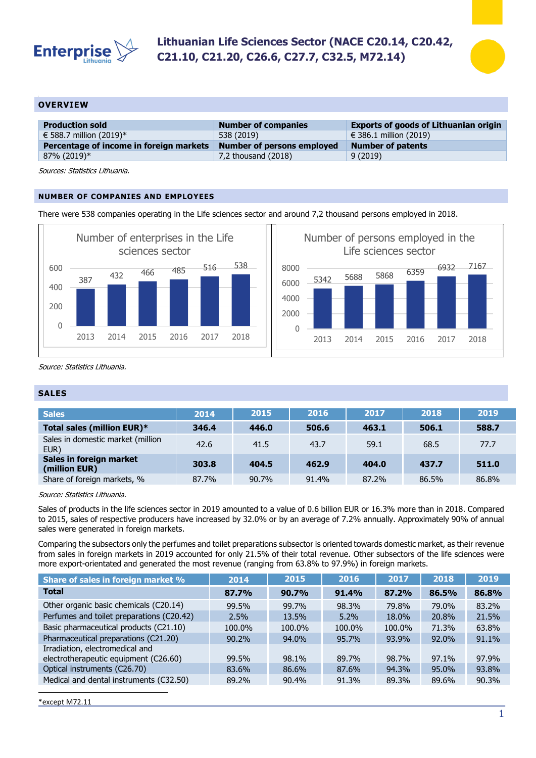



## **OVERVIEW**

| <b>Production sold</b>                  | <b>Number of companies</b> | <b>Exports of goods of Lithuanian origin</b> |
|-----------------------------------------|----------------------------|----------------------------------------------|
| € 588.7 million (2019)*                 | 538 (2019)                 | € 386.1 million (2019)                       |
| Percentage of income in foreign markets | Number of persons employed | <b>Number of patents</b>                     |
| 87% (2019)*                             | 7,2 thousand $(2018)$      | 9(2019)                                      |

Sources: Statistics Lithuania.

## **NUMBER OF COMPANIES AND EMPLOYEES**

There were 538 companies operating in the Life sciences sector and around 7,2 thousand persons employed in 2018.



Source: Statistics Lithuania.

## **SALES**

| <b>Sales</b>                              | 2014  | 2015  | 2016  | 2017  | 2018  | 2019  |
|-------------------------------------------|-------|-------|-------|-------|-------|-------|
| Total sales (million EUR)*                | 346.4 | 446.0 | 506.6 | 463.1 | 506.1 | 588.7 |
| Sales in domestic market (million<br>EUR) | 42.6  | 41.5  | 43.7  | 59.1  | 68.5  | 77.7  |
| Sales in foreign market<br>(million EUR)  | 303.8 | 404.5 | 462.9 | 404.0 | 437.7 | 511.0 |
| Share of foreign markets, %               | 87.7% | 90.7% | 91.4% | 87.2% | 86.5% | 86.8% |

Source: Statistics Lithuania.

Sales of products in the life sciences sector in 2019 amounted to a value of 0.6 billion EUR or 16.3% more than in 2018. Compared to 2015, sales of respective producers have increased by 32.0% or by an average of 7.2% annually. Approximately 90% of annual sales were generated in foreign markets.

Comparing the subsectors only the perfumes and toilet preparations subsector is oriented towards domestic market, as their revenue from sales in foreign markets in 2019 accounted for only 21.5% of their total revenue. Other subsectors of the life sciences were more export-orientated and generated the most revenue (ranging from 63.8% to 97.9%) in foreign markets.

| Share of sales in foreign market %        | 2014     | 2015   | 2016    | 2017   | 2018     | 2019  |
|-------------------------------------------|----------|--------|---------|--------|----------|-------|
| <b>Total</b>                              | 87.7%    | 90.7%  | 91.4%   | 87.2%  | 86.5%    | 86.8% |
| Other organic basic chemicals (C20.14)    | 99.5%    | 99.7%  | 98.3%   | 79.8%  | 79.0%    | 83.2% |
| Perfumes and toilet preparations (C20.42) | $2.5\%$  | 13.5%  | $5.2\%$ | 18.0%  | 20.8%    | 21.5% |
| Basic pharmaceutical products (C21.10)    | 100.0%   | 100.0% | 100.0%  | 100.0% | 71.3%    | 63.8% |
| Pharmaceutical preparations (C21.20)      | $90.2\%$ | 94.0%  | 95.7%   | 93.9%  | 92.0%    | 91.1% |
| Irradiation, electromedical and           |          |        |         |        |          |       |
| electrotherapeutic equipment (C26.60)     | 99.5%    | 98.1%  | 89.7%   | 98.7%  | $97.1\%$ | 97.9% |
| Optical instruments (C26.70)              | 83.6%    | 86.6%  | 87.6%   | 94.3%  | 95.0%    | 93.8% |
| Medical and dental instruments (C32.50)   | 89.2%    | 90.4%  | 91.3%   | 89.3%  | 89.6%    | 90.3% |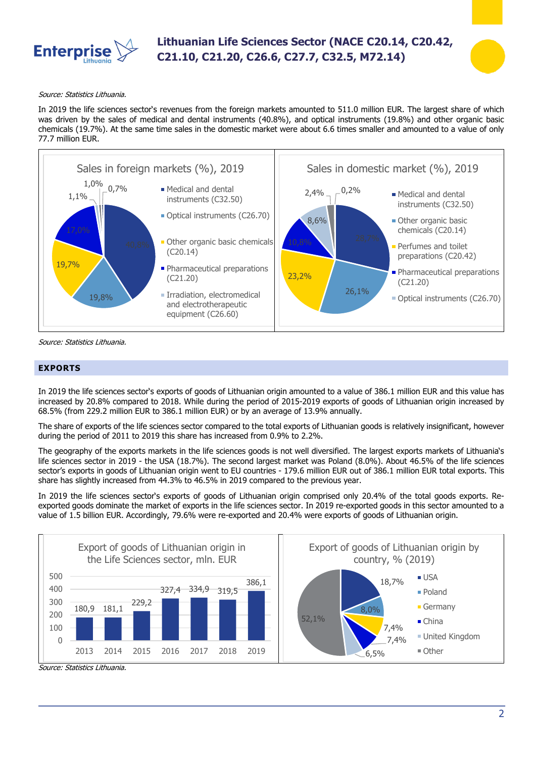

# **Lithuanian Life Sciences Sector (NACE C20.14, C20.42, C21.10, C21.20, C26.6, C27.7, C32.5, M72.14)**



#### Source: Statistics Lithuania.

In 2019 the life sciences sector's revenues from the foreign markets amounted to 511.0 million EUR. The largest share of which was driven by the sales of medical and dental instruments (40.8%), and optical instruments (19.8%) and other organic basic chemicals (19.7%). At the same time sales in the domestic market were about 6.6 times smaller and amounted to a value of only 77.7 million EUR.



Source: Statistics Lithuania.

### **EXPORTS**

In 2019 the life sciences sector's exports of goods of Lithuanian origin amounted to a value of 386.1 million EUR and this value has increased by 20.8% compared to 2018. While during the period of 2015-2019 exports of goods of Lithuanian origin increased by 68.5% (from 229.2 million EUR to 386.1 million EUR) or by an average of 13.9% annually.

The share of exports of the life sciences sector compared to the total exports of Lithuanian goods is relatively insignificant, however during the period of 2011 to 2019 this share has increased from 0.9% to 2.2%.

The geography of the exports markets in the life sciences goods is not well diversified. The largest exports markets of Lithuania's life sciences sector in 2019 - the USA (18.7%). The second largest market was Poland (8.0%). About 46.5% of the life sciences sector's exports in goods of Lithuanian origin went to EU countries - 179.6 million EUR out of 386.1 million EUR total exports. This share has slightly increased from 44.3% to 46.5% in 2019 compared to the previous year.

In 2019 the life sciences sector's exports of goods of Lithuanian origin comprised only 20.4% of the total goods exports. Reexported goods dominate the market of exports in the life sciences sector. In 2019 re-exported goods in this sector amounted to a value of 1.5 billion EUR. Accordingly, 79.6% were re-exported and 20.4% were exports of goods of Lithuanian origin.